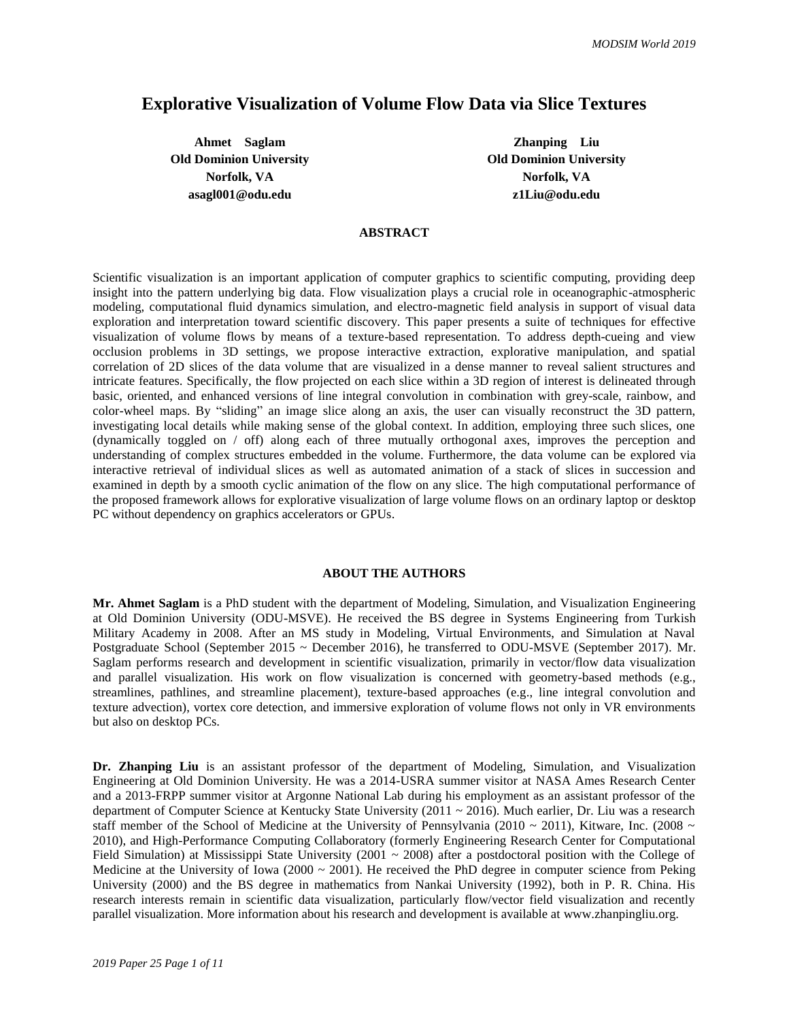# **Explorative Visualization of Volume Flow Data via Slice Textures**

**Ahmet Saglam Zhanping Liu Old Dominion University Old Dominion University Norfolk, VA Norfolk, VA asagl001@odu.edu z1Liu@odu.edu**

#### **ABSTRACT**

Scientific visualization is an important application of computer graphics to scientific computing, providing deep insight into the pattern underlying big data. Flow visualization plays a crucial role in oceanographic-atmospheric modeling, computational fluid dynamics simulation, and electro-magnetic field analysis in support of visual data exploration and interpretation toward scientific discovery. This paper presents a suite of techniques for effective visualization of volume flows by means of a texture-based representation. To address depth-cueing and view occlusion problems in 3D settings, we propose interactive extraction, explorative manipulation, and spatial correlation of 2D slices of the data volume that are visualized in a dense manner to reveal salient structures and intricate features. Specifically, the flow projected on each slice within a 3D region of interest is delineated through basic, oriented, and enhanced versions of line integral convolution in combination with grey-scale, rainbow, and color-wheel maps. By "sliding" an image slice along an axis, the user can visually reconstruct the 3D pattern, investigating local details while making sense of the global context. In addition, employing three such slices, one (dynamically toggled on / off) along each of three mutually orthogonal axes, improves the perception and understanding of complex structures embedded in the volume. Furthermore, the data volume can be explored via interactive retrieval of individual slices as well as automated animation of a stack of slices in succession and examined in depth by a smooth cyclic animation of the flow on any slice. The high computational performance of the proposed framework allows for explorative visualization of large volume flows on an ordinary laptop or desktop PC without dependency on graphics accelerators or GPUs.

### **ABOUT THE AUTHORS**

**Mr. Ahmet Saglam** is a PhD student with the department of Modeling, Simulation, and Visualization Engineering at Old Dominion University (ODU-MSVE). He received the BS degree in Systems Engineering from Turkish Military Academy in 2008. After an MS study in Modeling, Virtual Environments, and Simulation at Naval Postgraduate School (September 2015 ~ December 2016), he transferred to ODU-MSVE (September 2017). Mr. Saglam performs research and development in scientific visualization, primarily in vector/flow data visualization and parallel visualization. His work on flow visualization is concerned with geometry-based methods (e.g., streamlines, pathlines, and streamline placement), texture-based approaches (e.g., line integral convolution and texture advection), vortex core detection, and immersive exploration of volume flows not only in VR environments but also on desktop PCs.

**Dr. Zhanping Liu** is an assistant professor of the department of Modeling, Simulation, and Visualization Engineering at Old Dominion University. He was a 2014-USRA summer visitor at NASA Ames Research Center and a 2013-FRPP summer visitor at Argonne National Lab during his employment as an assistant professor of the department of Computer Science at Kentucky State University (2011 ~ 2016). Much earlier, Dr. Liu was a research staff member of the School of Medicine at the University of Pennsylvania (2010 ~ 2011), Kitware, Inc. (2008 ~ 2010), and High-Performance Computing Collaboratory (formerly Engineering Research Center for Computational Field Simulation) at Mississippi State University (2001  $\sim$  2008) after a postdoctoral position with the College of Medicine at the University of Iowa (2000  $\sim$  2001). He received the PhD degree in computer science from Peking University (2000) and the BS degree in mathematics from Nankai University (1992), both in P. R. China. His research interests remain in scientific data visualization, particularly flow/vector field visualization and recently parallel visualization. More information about his research and development is available at www.zhanpingliu.org.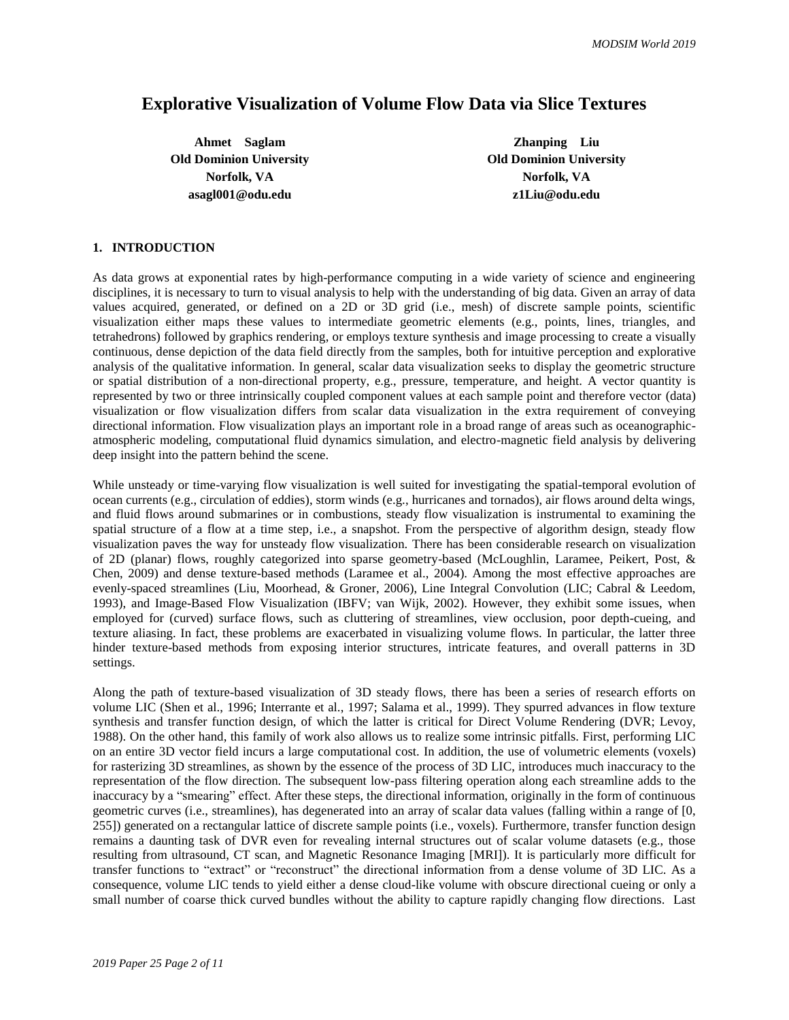# **Explorative Visualization of Volume Flow Data via Slice Textures**

**Ahmet Saglam Zhanping Liu Old Dominion University Old Dominion University Norfolk, VA Norfolk, VA asagl001@odu.edu z1Liu@odu.edu**

#### **1. INTRODUCTION**

As data grows at exponential rates by high-performance computing in a wide variety of science and engineering disciplines, it is necessary to turn to visual analysis to help with the understanding of big data. Given an array of data values acquired, generated, or defined on a 2D or 3D grid (i.e., mesh) of discrete sample points, scientific visualization either maps these values to intermediate geometric elements (e.g., points, lines, triangles, and tetrahedrons) followed by graphics rendering, or employs texture synthesis and image processing to create a visually continuous, dense depiction of the data field directly from the samples, both for intuitive perception and explorative analysis of the qualitative information. In general, scalar data visualization seeks to display the geometric structure or spatial distribution of a non-directional property, e.g., pressure, temperature, and height. A vector quantity is represented by two or three intrinsically coupled component values at each sample point and therefore vector (data) visualization or flow visualization differs from scalar data visualization in the extra requirement of conveying directional information. Flow visualization plays an important role in a broad range of areas such as oceanographicatmospheric modeling, computational fluid dynamics simulation, and electro-magnetic field analysis by delivering deep insight into the pattern behind the scene.

While unsteady or time-varying flow visualization is well suited for investigating the spatial-temporal evolution of ocean currents (e.g., circulation of eddies), storm winds (e.g., hurricanes and tornados), air flows around delta wings, and fluid flows around submarines or in combustions, steady flow visualization is instrumental to examining the spatial structure of a flow at a time step, i.e., a snapshot. From the perspective of algorithm design, steady flow visualization paves the way for unsteady flow visualization. There has been considerable research on visualization of 2D (planar) flows, roughly categorized into sparse geometry-based (McLoughlin, Laramee, Peikert, Post, & Chen, 2009) and dense texture-based methods (Laramee et al., 2004). Among the most effective approaches are evenly-spaced streamlines (Liu, Moorhead, & Groner, 2006), Line Integral Convolution (LIC; Cabral & Leedom, 1993), and Image-Based Flow Visualization (IBFV; van Wijk, 2002). However, they exhibit some issues, when employed for (curved) surface flows, such as cluttering of streamlines, view occlusion, poor depth-cueing, and texture aliasing. In fact, these problems are exacerbated in visualizing volume flows. In particular, the latter three hinder texture-based methods from exposing interior structures, intricate features, and overall patterns in 3D settings.

Along the path of texture-based visualization of 3D steady flows, there has been a series of research efforts on volume LIC (Shen et al., 1996; Interrante et al., 1997; Salama et al., 1999). They spurred advances in flow texture synthesis and transfer function design, of which the latter is critical for Direct Volume Rendering (DVR; Levoy, 1988). On the other hand, this family of work also allows us to realize some intrinsic pitfalls. First, performing LIC on an entire 3D vector field incurs a large computational cost. In addition, the use of volumetric elements (voxels) for rasterizing 3D streamlines, as shown by the essence of the process of 3D LIC, introduces much inaccuracy to the representation of the flow direction. The subsequent low-pass filtering operation along each streamline adds to the inaccuracy by a "smearing" effect. After these steps, the directional information, originally in the form of continuous geometric curves (i.e., streamlines), has degenerated into an array of scalar data values (falling within a range of [0, 255]) generated on a rectangular lattice of discrete sample points (i.e., voxels). Furthermore, transfer function design remains a daunting task of DVR even for revealing internal structures out of scalar volume datasets (e.g., those resulting from ultrasound, CT scan, and Magnetic Resonance Imaging [MRI]). It is particularly more difficult for transfer functions to "extract" or "reconstruct" the directional information from a dense volume of 3D LIC. As a consequence, volume LIC tends to yield either a dense cloud-like volume with obscure directional cueing or only a small number of coarse thick curved bundles without the ability to capture rapidly changing flow directions. Last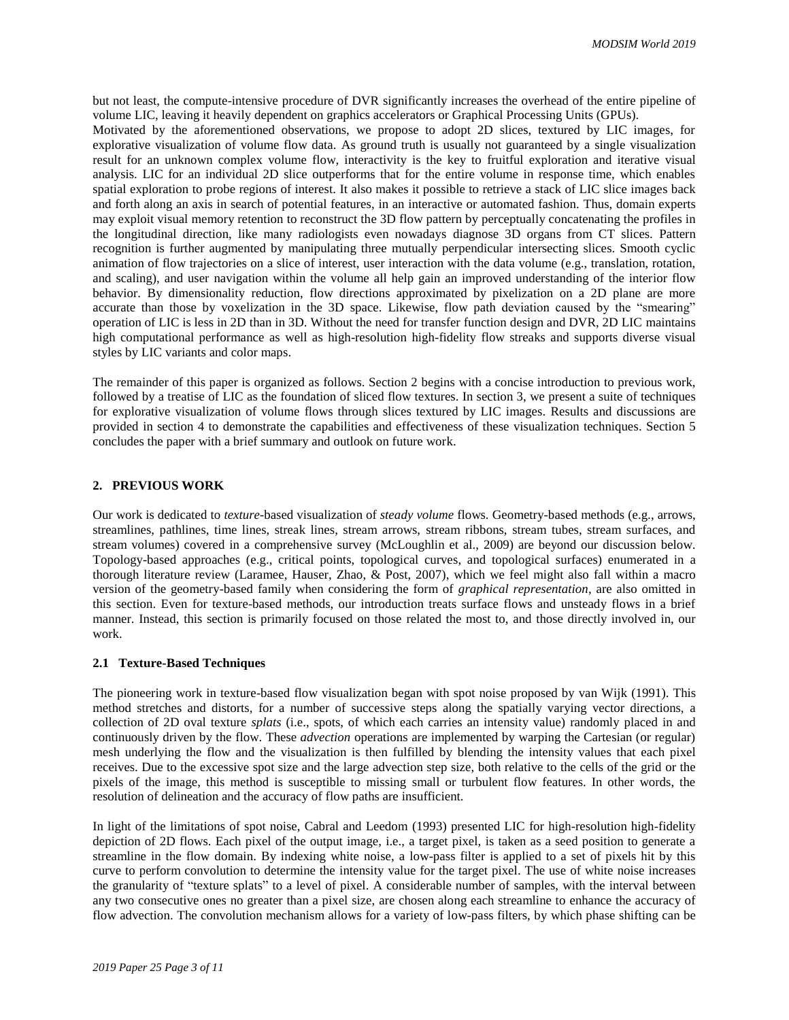but not least, the compute-intensive procedure of DVR significantly increases the overhead of the entire pipeline of volume LIC, leaving it heavily dependent on graphics accelerators or Graphical Processing Units (GPUs). Motivated by the aforementioned observations, we propose to adopt 2D slices, textured by LIC images, for explorative visualization of volume flow data. As ground truth is usually not guaranteed by a single visualization result for an unknown complex volume flow, interactivity is the key to fruitful exploration and iterative visual analysis. LIC for an individual 2D slice outperforms that for the entire volume in response time, which enables spatial exploration to probe regions of interest. It also makes it possible to retrieve a stack of LIC slice images back and forth along an axis in search of potential features, in an interactive or automated fashion. Thus, domain experts may exploit visual memory retention to reconstruct the 3D flow pattern by perceptually concatenating the profiles in the longitudinal direction, like many radiologists even nowadays diagnose 3D organs from CT slices. Pattern recognition is further augmented by manipulating three mutually perpendicular intersecting slices. Smooth cyclic animation of flow trajectories on a slice of interest, user interaction with the data volume (e.g., translation, rotation, and scaling), and user navigation within the volume all help gain an improved understanding of the interior flow behavior. By dimensionality reduction, flow directions approximated by pixelization on a 2D plane are more accurate than those by voxelization in the 3D space. Likewise, flow path deviation caused by the "smearing" operation of LIC is less in 2D than in 3D. Without the need for transfer function design and DVR, 2D LIC maintains high computational performance as well as high-resolution high-fidelity flow streaks and supports diverse visual styles by LIC variants and color maps.

The remainder of this paper is organized as follows. Section 2 begins with a concise introduction to previous work, followed by a treatise of LIC as the foundation of sliced flow textures. In section 3, we present a suite of techniques for explorative visualization of volume flows through slices textured by LIC images. Results and discussions are provided in section 4 to demonstrate the capabilities and effectiveness of these visualization techniques. Section 5 concludes the paper with a brief summary and outlook on future work.

#### **2. PREVIOUS WORK**

Our work is dedicated to *texture*-based visualization of *steady volume* flows. Geometry-based methods (e.g., arrows, streamlines, pathlines, time lines, streak lines, stream arrows, stream ribbons, stream tubes, stream surfaces, and stream volumes) covered in a comprehensive survey (McLoughlin et al., 2009) are beyond our discussion below. Topology-based approaches (e.g., critical points, topological curves, and topological surfaces) enumerated in a thorough literature review (Laramee, Hauser, Zhao, & Post, 2007), which we feel might also fall within a macro version of the geometry-based family when considering the form of *graphical representation*, are also omitted in this section. Even for texture-based methods, our introduction treats surface flows and unsteady flows in a brief manner. Instead, this section is primarily focused on those related the most to, and those directly involved in, our work.

#### **2.1 Texture-Based Techniques**

The pioneering work in texture-based flow visualization began with spot noise proposed by van Wijk (1991). This method stretches and distorts, for a number of successive steps along the spatially varying vector directions, a collection of 2D oval texture *splats* (i.e., spots, of which each carries an intensity value) randomly placed in and continuously driven by the flow. These *advection* operations are implemented by warping the Cartesian (or regular) mesh underlying the flow and the visualization is then fulfilled by blending the intensity values that each pixel receives. Due to the excessive spot size and the large advection step size, both relative to the cells of the grid or the pixels of the image, this method is susceptible to missing small or turbulent flow features. In other words, the resolution of delineation and the accuracy of flow paths are insufficient.

In light of the limitations of spot noise, Cabral and Leedom (1993) presented LIC for high-resolution high-fidelity depiction of 2D flows. Each pixel of the output image, i.e., a target pixel, is taken as a seed position to generate a streamline in the flow domain. By indexing white noise, a low-pass filter is applied to a set of pixels hit by this curve to perform convolution to determine the intensity value for the target pixel. The use of white noise increases the granularity of "texture splats" to a level of pixel. A considerable number of samples, with the interval between any two consecutive ones no greater than a pixel size, are chosen along each streamline to enhance the accuracy of flow advection. The convolution mechanism allows for a variety of low-pass filters, by which phase shifting can be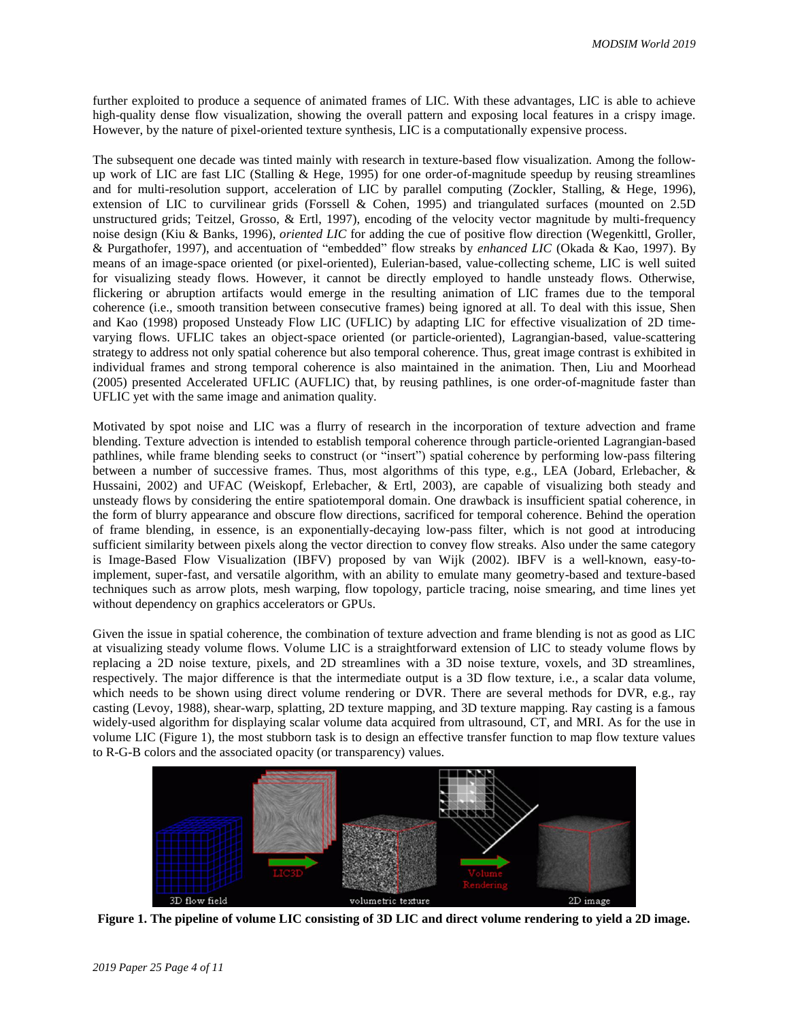further exploited to produce a sequence of animated frames of LIC. With these advantages, LIC is able to achieve high-quality dense flow visualization, showing the overall pattern and exposing local features in a crispy image. However, by the nature of pixel-oriented texture synthesis, LIC is a computationally expensive process.

The subsequent one decade was tinted mainly with research in texture-based flow visualization. Among the followup work of LIC are fast LIC (Stalling & Hege, 1995) for one order-of-magnitude speedup by reusing streamlines and for multi-resolution support, acceleration of LIC by parallel computing (Zockler, Stalling, & Hege, 1996), extension of LIC to curvilinear grids (Forssell & Cohen, 1995) and triangulated surfaces (mounted on 2.5D unstructured grids; Teitzel, Grosso, & Ertl, 1997), encoding of the velocity vector magnitude by multi-frequency noise design (Kiu & Banks, 1996), *oriented LIC* for adding the cue of positive flow direction (Wegenkittl, Groller, & Purgathofer, 1997), and accentuation of "embedded" flow streaks by *enhanced LIC* (Okada & Kao, 1997). By means of an image-space oriented (or pixel-oriented), Eulerian-based, value-collecting scheme, LIC is well suited for visualizing steady flows. However, it cannot be directly employed to handle unsteady flows. Otherwise, flickering or abruption artifacts would emerge in the resulting animation of LIC frames due to the temporal coherence (i.e., smooth transition between consecutive frames) being ignored at all. To deal with this issue, Shen and Kao (1998) proposed Unsteady Flow LIC (UFLIC) by adapting LIC for effective visualization of 2D timevarying flows. UFLIC takes an object-space oriented (or particle-oriented), Lagrangian-based, value-scattering strategy to address not only spatial coherence but also temporal coherence. Thus, great image contrast is exhibited in individual frames and strong temporal coherence is also maintained in the animation. Then, Liu and Moorhead (2005) presented Accelerated UFLIC (AUFLIC) that, by reusing pathlines, is one order-of-magnitude faster than UFLIC yet with the same image and animation quality.

Motivated by spot noise and LIC was a flurry of research in the incorporation of texture advection and frame blending. Texture advection is intended to establish temporal coherence through particle-oriented Lagrangian-based pathlines, while frame blending seeks to construct (or "insert") spatial coherence by performing low-pass filtering between a number of successive frames. Thus, most algorithms of this type, e.g., LEA (Jobard, Erlebacher, & Hussaini, 2002) and UFAC (Weiskopf, Erlebacher, & Ertl, 2003), are capable of visualizing both steady and unsteady flows by considering the entire spatiotemporal domain. One drawback is insufficient spatial coherence, in the form of blurry appearance and obscure flow directions, sacrificed for temporal coherence. Behind the operation of frame blending, in essence, is an exponentially-decaying low-pass filter, which is not good at introducing sufficient similarity between pixels along the vector direction to convey flow streaks. Also under the same category is Image-Based Flow Visualization (IBFV) proposed by van Wijk (2002). IBFV is a well-known, easy-toimplement, super-fast, and versatile algorithm, with an ability to emulate many geometry-based and texture-based techniques such as arrow plots, mesh warping, flow topology, particle tracing, noise smearing, and time lines yet without dependency on graphics accelerators or GPUs.

Given the issue in spatial coherence, the combination of texture advection and frame blending is not as good as LIC at visualizing steady volume flows. Volume LIC is a straightforward extension of LIC to steady volume flows by replacing a 2D noise texture, pixels, and 2D streamlines with a 3D noise texture, voxels, and 3D streamlines, respectively. The major difference is that the intermediate output is a 3D flow texture, i.e., a scalar data volume, which needs to be shown using direct volume rendering or DVR. There are several methods for DVR, e.g., ray casting (Levoy, 1988), shear-warp, splatting, 2D texture mapping, and 3D texture mapping. Ray casting is a famous widely-used algorithm for displaying scalar volume data acquired from ultrasound, CT, and MRI. As for the use in volume LIC (Figure 1), the most stubborn task is to design an effective transfer function to map flow texture values to R-G-B colors and the associated opacity (or transparency) values.



**Figure 1. The pipeline of volume LIC consisting of 3D LIC and direct volume rendering to yield a 2D image.**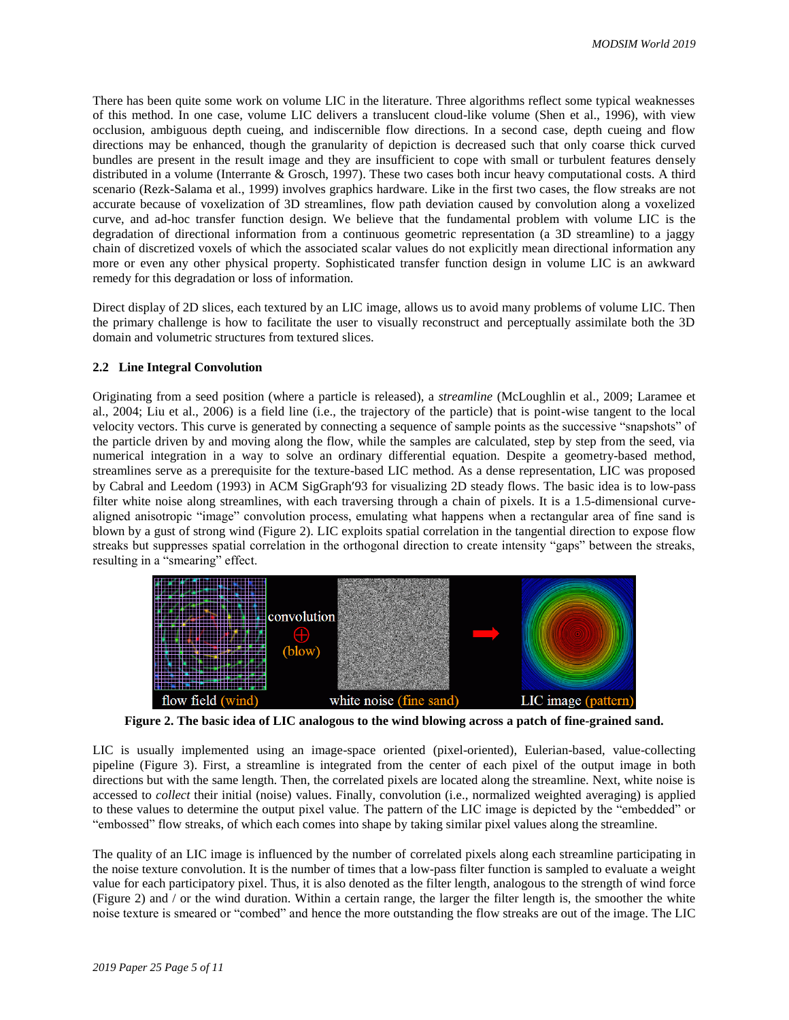There has been quite some work on volume LIC in the literature. Three algorithms reflect some typical weaknesses of this method. In one case, volume LIC delivers a translucent cloud-like volume (Shen et al., 1996), with view occlusion, ambiguous depth cueing, and indiscernible flow directions. In a second case, depth cueing and flow directions may be enhanced, though the granularity of depiction is decreased such that only coarse thick curved bundles are present in the result image and they are insufficient to cope with small or turbulent features densely distributed in a volume (Interrante & Grosch, 1997). These two cases both incur heavy computational costs. A third scenario (Rezk-Salama et al., 1999) involves graphics hardware. Like in the first two cases, the flow streaks are not accurate because of voxelization of 3D streamlines, flow path deviation caused by convolution along a voxelized curve, and ad-hoc transfer function design. We believe that the fundamental problem with volume LIC is the degradation of directional information from a continuous geometric representation (a 3D streamline) to a jaggy chain of discretized voxels of which the associated scalar values do not explicitly mean directional information any more or even any other physical property. Sophisticated transfer function design in volume LIC is an awkward remedy for this degradation or loss of information.

Direct display of 2D slices, each textured by an LIC image, allows us to avoid many problems of volume LIC. Then the primary challenge is how to facilitate the user to visually reconstruct and perceptually assimilate both the 3D domain and volumetric structures from textured slices.

#### **2.2 Line Integral Convolution**

Originating from a seed position (where a particle is released), a *streamline* (McLoughlin et al., 2009; Laramee et al., 2004; Liu et al., 2006) is a field line (i.e., the trajectory of the particle) that is point-wise tangent to the local velocity vectors. This curve is generated by connecting a sequence of sample points as the successive "snapshots" of the particle driven by and moving along the flow, while the samples are calculated, step by step from the seed, via numerical integration in a way to solve an ordinary differential equation. Despite a geometry-based method, streamlines serve as a prerequisite for the texture-based LIC method. As a dense representation, LIC was proposed by Cabral and Leedom (1993) in ACM SigGraph'93 for visualizing 2D steady flows. The basic idea is to low-pass filter white noise along streamlines, with each traversing through a chain of pixels. It is a 1.5-dimensional curvealigned anisotropic "image" convolution process, emulating what happens when a rectangular area of fine sand is blown by a gust of strong wind (Figure 2). LIC exploits spatial correlation in the tangential direction to expose flow streaks but suppresses spatial correlation in the orthogonal direction to create intensity "gaps" between the streaks, resulting in a "smearing" effect.



**Figure 2. The basic idea of LIC analogous to the wind blowing across a patch of fine-grained sand.**

LIC is usually implemented using an image-space oriented (pixel-oriented), Eulerian-based, value-collecting pipeline (Figure 3). First, a streamline is integrated from the center of each pixel of the output image in both directions but with the same length. Then, the correlated pixels are located along the streamline. Next, white noise is accessed to *collect* their initial (noise) values. Finally, convolution (i.e., normalized weighted averaging) is applied to these values to determine the output pixel value. The pattern of the LIC image is depicted by the "embedded" or "embossed" flow streaks, of which each comes into shape by taking similar pixel values along the streamline.

The quality of an LIC image is influenced by the number of correlated pixels along each streamline participating in the noise texture convolution. It is the number of times that a low-pass filter function is sampled to evaluate a weight value for each participatory pixel. Thus, it is also denoted as the filter length, analogous to the strength of wind force (Figure 2) and / or the wind duration. Within a certain range, the larger the filter length is, the smoother the white noise texture is smeared or "combed" and hence the more outstanding the flow streaks are out of the image. The LIC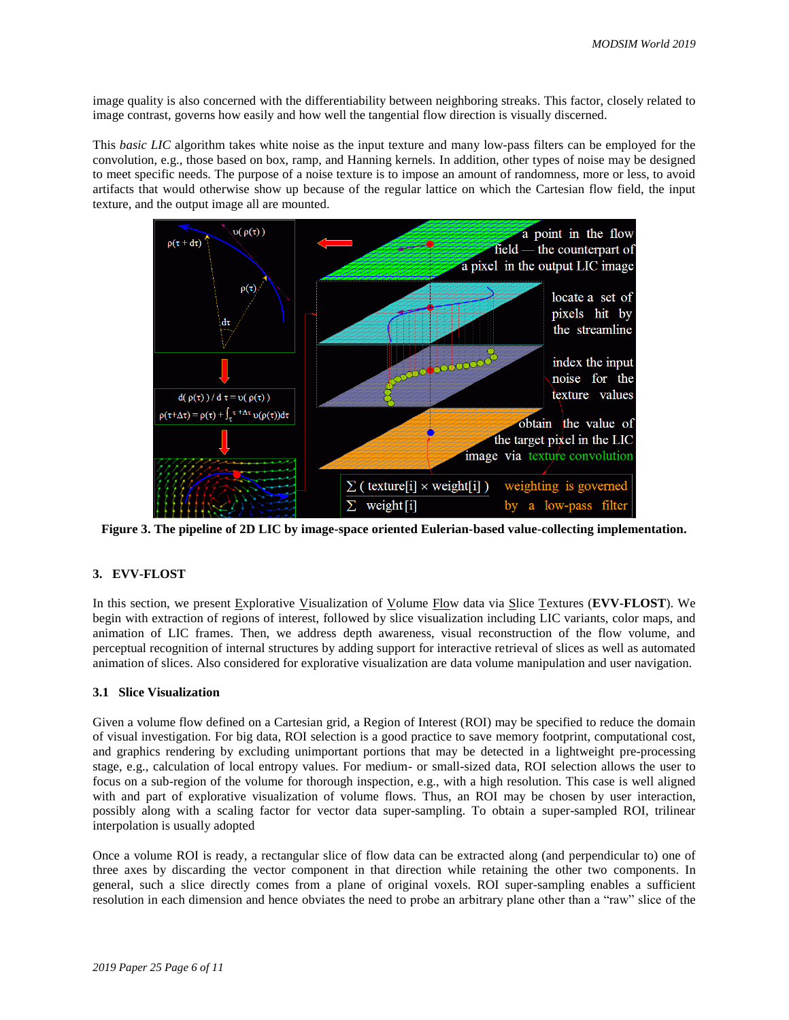image quality is also concerned with the differentiability between neighboring streaks. This factor, closely related to image contrast, governs how easily and how well the tangential flow direction is visually discerned.

This *basic LIC* algorithm takes white noise as the input texture and many low-pass filters can be employed for the convolution, e.g., those based on box, ramp, and Hanning kernels. In addition, other types of noise may be designed to meet specific needs. The purpose of a noise texture is to impose an amount of randomness, more or less, to avoid artifacts that would otherwise show up because of the regular lattice on which the Cartesian flow field, the input texture, and the output image all are mounted.



**Figure 3. The pipeline of 2D LIC by image-space oriented Eulerian-based value-collecting implementation.**

#### **3. EVV-FLOST**

In this section, we present Explorative Visualization of Volume Flow data via Slice Textures (**EVV-FLOST**). We begin with extraction of regions of interest, followed by slice visualization including LIC variants, color maps, and animation of LIC frames. Then, we address depth awareness, visual reconstruction of the flow volume, and perceptual recognition of internal structures by adding support for interactive retrieval of slices as well as automated animation of slices. Also considered for explorative visualization are data volume manipulation and user navigation.

#### **3.1 Slice Visualization**

Given a volume flow defined on a Cartesian grid, a Region of Interest (ROI) may be specified to reduce the domain of visual investigation. For big data, ROI selection is a good practice to save memory footprint, computational cost, and graphics rendering by excluding unimportant portions that may be detected in a lightweight pre-processing stage, e.g., calculation of local entropy values. For medium- or small-sized data, ROI selection allows the user to focus on a sub-region of the volume for thorough inspection, e.g., with a high resolution. This case is well aligned with and part of explorative visualization of volume flows. Thus, an ROI may be chosen by user interaction, possibly along with a scaling factor for vector data super-sampling. To obtain a super-sampled ROI, trilinear interpolation is usually adopted

Once a volume ROI is ready, a rectangular slice of flow data can be extracted along (and perpendicular to) one of three axes by discarding the vector component in that direction while retaining the other two components. In general, such a slice directly comes from a plane of original voxels. ROI super-sampling enables a sufficient resolution in each dimension and hence obviates the need to probe an arbitrary plane other than a "raw" slice of the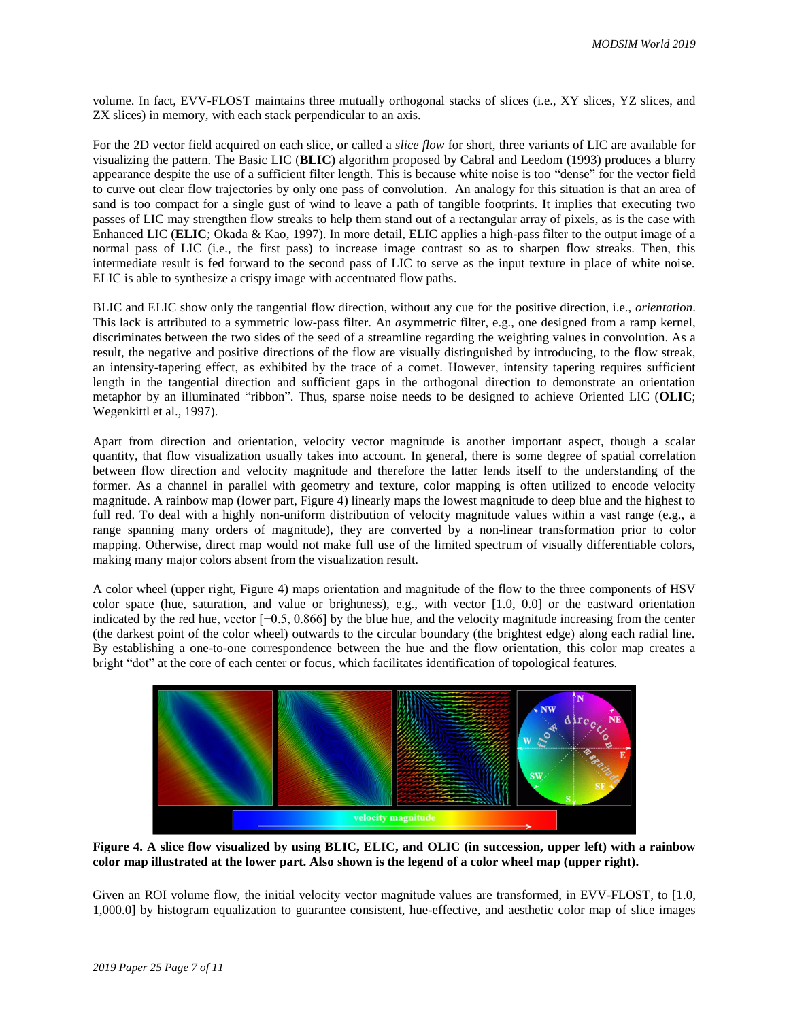volume. In fact, EVV-FLOST maintains three mutually orthogonal stacks of slices (i.e., XY slices, YZ slices, and ZX slices) in memory, with each stack perpendicular to an axis.

For the 2D vector field acquired on each slice, or called a *slice flow* for short, three variants of LIC are available for visualizing the pattern. The Basic LIC (**BLIC**) algorithm proposed by Cabral and Leedom (1993) produces a blurry appearance despite the use of a sufficient filter length. This is because white noise is too "dense" for the vector field to curve out clear flow trajectories by only one pass of convolution. An analogy for this situation is that an area of sand is too compact for a single gust of wind to leave a path of tangible footprints. It implies that executing two passes of LIC may strengthen flow streaks to help them stand out of a rectangular array of pixels, as is the case with Enhanced LIC (**ELIC**; Okada & Kao, 1997). In more detail, ELIC applies a high-pass filter to the output image of a normal pass of LIC (i.e., the first pass) to increase image contrast so as to sharpen flow streaks. Then, this intermediate result is fed forward to the second pass of LIC to serve as the input texture in place of white noise. ELIC is able to synthesize a crispy image with accentuated flow paths.

BLIC and ELIC show only the tangential flow direction, without any cue for the positive direction, i.e., *orientation*. This lack is attributed to a symmetric low-pass filter. An *a*symmetric filter, e.g., one designed from a ramp kernel, discriminates between the two sides of the seed of a streamline regarding the weighting values in convolution. As a result, the negative and positive directions of the flow are visually distinguished by introducing, to the flow streak, an intensity-tapering effect, as exhibited by the trace of a comet. However, intensity tapering requires sufficient length in the tangential direction and sufficient gaps in the orthogonal direction to demonstrate an orientation metaphor by an illuminated "ribbon". Thus, sparse noise needs to be designed to achieve Oriented LIC (**OLIC**; Wegenkittl et al., 1997).

Apart from direction and orientation, velocity vector magnitude is another important aspect, though a scalar quantity, that flow visualization usually takes into account. In general, there is some degree of spatial correlation between flow direction and velocity magnitude and therefore the latter lends itself to the understanding of the former. As a channel in parallel with geometry and texture, color mapping is often utilized to encode velocity magnitude. A rainbow map (lower part, Figure 4) linearly maps the lowest magnitude to deep blue and the highest to full red. To deal with a highly non-uniform distribution of velocity magnitude values within a vast range (e.g., a range spanning many orders of magnitude), they are converted by a non-linear transformation prior to color mapping. Otherwise, direct map would not make full use of the limited spectrum of visually differentiable colors, making many major colors absent from the visualization result.

A color wheel (upper right, Figure 4) maps orientation and magnitude of the flow to the three components of HSV color space (hue, saturation, and value or brightness), e.g., with vector [1.0, 0.0] or the eastward orientation indicated by the red hue, vector [−0.5, 0.866] by the blue hue, and the velocity magnitude increasing from the center (the darkest point of the color wheel) outwards to the circular boundary (the brightest edge) along each radial line. By establishing a one-to-one correspondence between the hue and the flow orientation, this color map creates a bright "dot" at the core of each center or focus, which facilitates identification of topological features.



**Figure 4. A slice flow visualized by using BLIC, ELIC, and OLIC (in succession, upper left) with a rainbow color map illustrated at the lower part. Also shown is the legend of a color wheel map (upper right).**

Given an ROI volume flow, the initial velocity vector magnitude values are transformed, in EVV-FLOST, to [1.0, 1,000.0] by histogram equalization to guarantee consistent, hue-effective, and aesthetic color map of slice images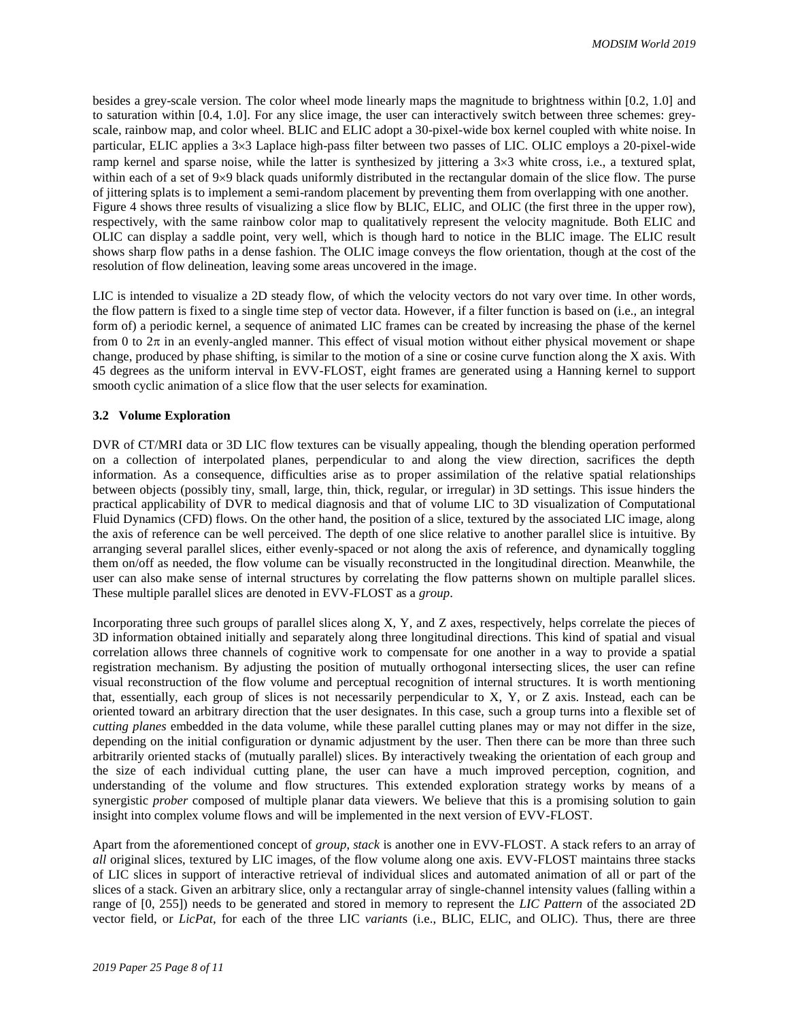besides a grey-scale version. The color wheel mode linearly maps the magnitude to brightness within [0.2, 1.0] and to saturation within [0.4, 1.0]. For any slice image, the user can interactively switch between three schemes: greyscale, rainbow map, and color wheel. BLIC and ELIC adopt a 30-pixel-wide box kernel coupled with white noise. In particular, ELIC applies a 3×3 Laplace high-pass filter between two passes of LIC. OLIC employs a 20-pixel-wide ramp kernel and sparse noise, while the latter is synthesized by jittering a  $3\times3$  white cross, i.e., a textured splat, within each of a set of  $9\times9$  black quads uniformly distributed in the rectangular domain of the slice flow. The purse of jittering splats is to implement a semi-random placement by preventing them from overlapping with one another. Figure 4 shows three results of visualizing a slice flow by BLIC, ELIC, and OLIC (the first three in the upper row), respectively, with the same rainbow color map to qualitatively represent the velocity magnitude. Both ELIC and OLIC can display a saddle point, very well, which is though hard to notice in the BLIC image. The ELIC result shows sharp flow paths in a dense fashion. The OLIC image conveys the flow orientation, though at the cost of the resolution of flow delineation, leaving some areas uncovered in the image.

LIC is intended to visualize a 2D steady flow, of which the velocity vectors do not vary over time. In other words, the flow pattern is fixed to a single time step of vector data. However, if a filter function is based on (i.e., an integral form of) a periodic kernel, a sequence of animated LIC frames can be created by increasing the phase of the kernel from 0 to  $2\pi$  in an evenly-angled manner. This effect of visual motion without either physical movement or shape change, produced by phase shifting, is similar to the motion of a sine or cosine curve function along the X axis. With 45 degrees as the uniform interval in EVV-FLOST, eight frames are generated using a Hanning kernel to support smooth cyclic animation of a slice flow that the user selects for examination.

#### **3.2 Volume Exploration**

DVR of CT/MRI data or 3D LIC flow textures can be visually appealing, though the blending operation performed on a collection of interpolated planes, perpendicular to and along the view direction, sacrifices the depth information. As a consequence, difficulties arise as to proper assimilation of the relative spatial relationships between objects (possibly tiny, small, large, thin, thick, regular, or irregular) in 3D settings. This issue hinders the practical applicability of DVR to medical diagnosis and that of volume LIC to 3D visualization of Computational Fluid Dynamics (CFD) flows. On the other hand, the position of a slice, textured by the associated LIC image, along the axis of reference can be well perceived. The depth of one slice relative to another parallel slice is intuitive. By arranging several parallel slices, either evenly-spaced or not along the axis of reference, and dynamically toggling them on/off as needed, the flow volume can be visually reconstructed in the longitudinal direction. Meanwhile, the user can also make sense of internal structures by correlating the flow patterns shown on multiple parallel slices. These multiple parallel slices are denoted in EVV-FLOST as a *group*.

Incorporating three such groups of parallel slices along X, Y, and Z axes, respectively, helps correlate the pieces of 3D information obtained initially and separately along three longitudinal directions. This kind of spatial and visual correlation allows three channels of cognitive work to compensate for one another in a way to provide a spatial registration mechanism. By adjusting the position of mutually orthogonal intersecting slices, the user can refine visual reconstruction of the flow volume and perceptual recognition of internal structures. It is worth mentioning that, essentially, each group of slices is not necessarily perpendicular to X, Y, or Z axis. Instead, each can be oriented toward an arbitrary direction that the user designates. In this case, such a group turns into a flexible set of *cutting planes* embedded in the data volume, while these parallel cutting planes may or may not differ in the size, depending on the initial configuration or dynamic adjustment by the user. Then there can be more than three such arbitrarily oriented stacks of (mutually parallel) slices. By interactively tweaking the orientation of each group and the size of each individual cutting plane, the user can have a much improved perception, cognition, and understanding of the volume and flow structures. This extended exploration strategy works by means of a synergistic *prober* composed of multiple planar data viewers. We believe that this is a promising solution to gain insight into complex volume flows and will be implemented in the next version of EVV-FLOST.

Apart from the aforementioned concept of *group*, *stack* is another one in EVV-FLOST. A stack refers to an array of *all* original slices, textured by LIC images, of the flow volume along one axis. EVV-FLOST maintains three stacks of LIC slices in support of interactive retrieval of individual slices and automated animation of all or part of the slices of a stack. Given an arbitrary slice, only a rectangular array of single-channel intensity values (falling within a range of [0, 255]) needs to be generated and stored in memory to represent the *LIC Pattern* of the associated 2D vector field, or *LicPat*, for each of the three LIC *variant*s (i.e., BLIC, ELIC, and OLIC). Thus, there are three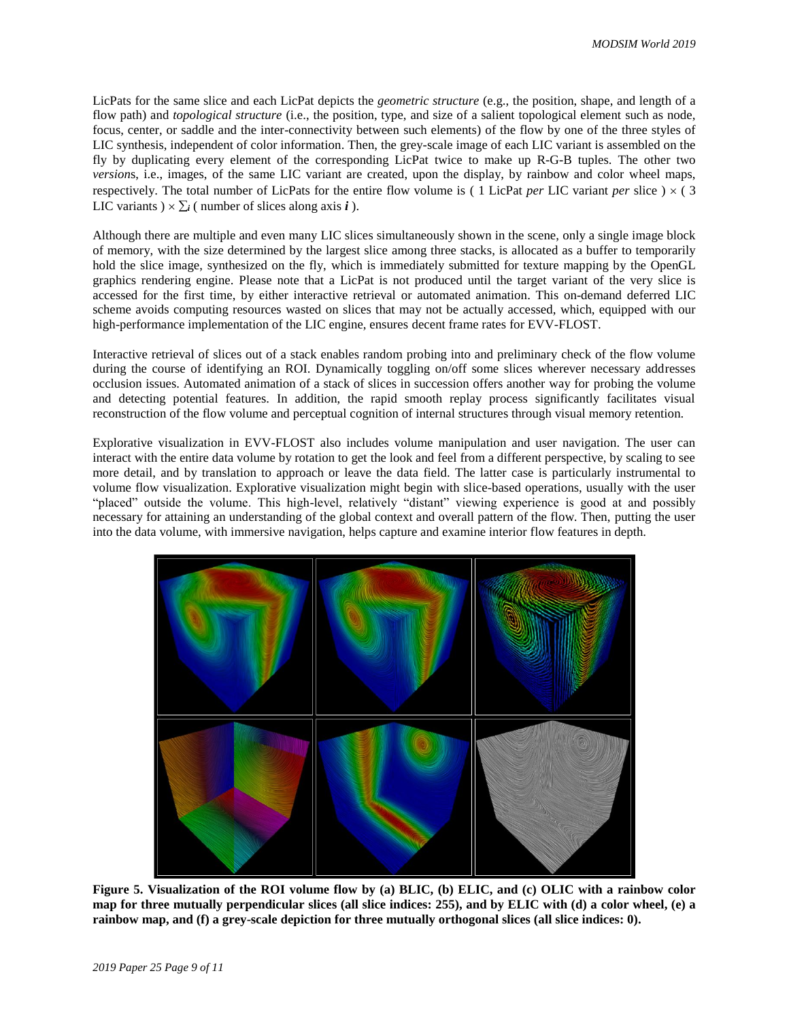LicPats for the same slice and each LicPat depicts the *geometric structure* (e.g., the position, shape, and length of a flow path) and *topological structure* (i.e., the position, type, and size of a salient topological element such as node, focus, center, or saddle and the inter-connectivity between such elements) of the flow by one of the three styles of LIC synthesis, independent of color information. Then, the grey-scale image of each LIC variant is assembled on the fly by duplicating every element of the corresponding LicPat twice to make up R-G-B tuples. The other two *version*s, i.e., images, of the same LIC variant are created, upon the display, by rainbow and color wheel maps, respectively. The total number of LicPats for the entire flow volume is (1 LicPat *per* LIC variant *per* slice)  $\times$  (3) LIC variants  $) \times \sum_i$  (number of slices along axis *i*).

Although there are multiple and even many LIC slices simultaneously shown in the scene, only a single image block of memory, with the size determined by the largest slice among three stacks, is allocated as a buffer to temporarily hold the slice image, synthesized on the fly, which is immediately submitted for texture mapping by the OpenGL graphics rendering engine. Please note that a LicPat is not produced until the target variant of the very slice is accessed for the first time, by either interactive retrieval or automated animation. This on-demand deferred LIC scheme avoids computing resources wasted on slices that may not be actually accessed, which, equipped with our high-performance implementation of the LIC engine, ensures decent frame rates for EVV-FLOST.

Interactive retrieval of slices out of a stack enables random probing into and preliminary check of the flow volume during the course of identifying an ROI. Dynamically toggling on/off some slices wherever necessary addresses occlusion issues. Automated animation of a stack of slices in succession offers another way for probing the volume and detecting potential features. In addition, the rapid smooth replay process significantly facilitates visual reconstruction of the flow volume and perceptual cognition of internal structures through visual memory retention.

Explorative visualization in EVV-FLOST also includes volume manipulation and user navigation. The user can interact with the entire data volume by rotation to get the look and feel from a different perspective, by scaling to see more detail, and by translation to approach or leave the data field. The latter case is particularly instrumental to volume flow visualization. Explorative visualization might begin with slice-based operations, usually with the user "placed" outside the volume. This high-level, relatively "distant" viewing experience is good at and possibly necessary for attaining an understanding of the global context and overall pattern of the flow. Then, putting the user into the data volume, with immersive navigation, helps capture and examine interior flow features in depth.



**Figure 5. Visualization of the ROI volume flow by (a) BLIC, (b) ELIC, and (c) OLIC with a rainbow color map for three mutually perpendicular slices (all slice indices: 255), and by ELIC with (d) a color wheel, (e) a rainbow map, and (f) a grey-scale depiction for three mutually orthogonal slices (all slice indices: 0).**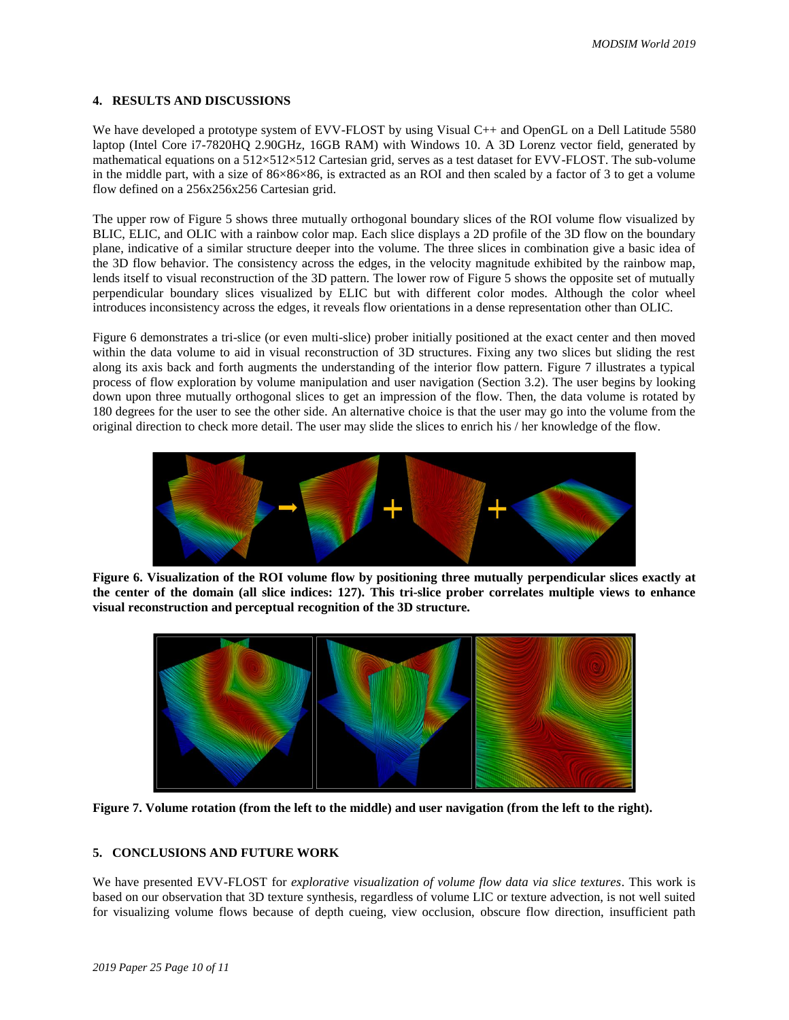#### **4. RESULTS AND DISCUSSIONS**

We have developed a prototype system of EVV-FLOST by using Visual C++ and OpenGL on a Dell Latitude 5580 laptop (Intel Core i7-7820HQ 2.90GHz, 16GB RAM) with Windows 10. A 3D Lorenz vector field, generated by mathematical equations on a 512×512×512 Cartesian grid, serves as a test dataset for EVV-FLOST. The sub-volume in the middle part, with a size of 86×86×86, is extracted as an ROI and then scaled by a factor of 3 to get a volume flow defined on a 256x256x256 Cartesian grid.

The upper row of Figure 5 shows three mutually orthogonal boundary slices of the ROI volume flow visualized by BLIC, ELIC, and OLIC with a rainbow color map. Each slice displays a 2D profile of the 3D flow on the boundary plane, indicative of a similar structure deeper into the volume. The three slices in combination give a basic idea of the 3D flow behavior. The consistency across the edges, in the velocity magnitude exhibited by the rainbow map, lends itself to visual reconstruction of the 3D pattern. The lower row of Figure 5 shows the opposite set of mutually perpendicular boundary slices visualized by ELIC but with different color modes. Although the color wheel introduces inconsistency across the edges, it reveals flow orientations in a dense representation other than OLIC.

Figure 6 demonstrates a tri-slice (or even multi-slice) prober initially positioned at the exact center and then moved within the data volume to aid in visual reconstruction of 3D structures. Fixing any two slices but sliding the rest along its axis back and forth augments the understanding of the interior flow pattern. Figure 7 illustrates a typical process of flow exploration by volume manipulation and user navigation (Section 3.2). The user begins by looking down upon three mutually orthogonal slices to get an impression of the flow. Then, the data volume is rotated by 180 degrees for the user to see the other side. An alternative choice is that the user may go into the volume from the original direction to check more detail. The user may slide the slices to enrich his / her knowledge of the flow.



**Figure 6. Visualization of the ROI volume flow by positioning three mutually perpendicular slices exactly at the center of the domain (all slice indices: 127). This tri-slice prober correlates multiple views to enhance visual reconstruction and perceptual recognition of the 3D structure.**



**Figure 7. Volume rotation (from the left to the middle) and user navigation (from the left to the right).**

### **5. CONCLUSIONS AND FUTURE WORK**

We have presented EVV-FLOST for *explorative visualization of volume flow data via slice textures*. This work is based on our observation that 3D texture synthesis, regardless of volume LIC or texture advection, is not well suited for visualizing volume flows because of depth cueing, view occlusion, obscure flow direction, insufficient path